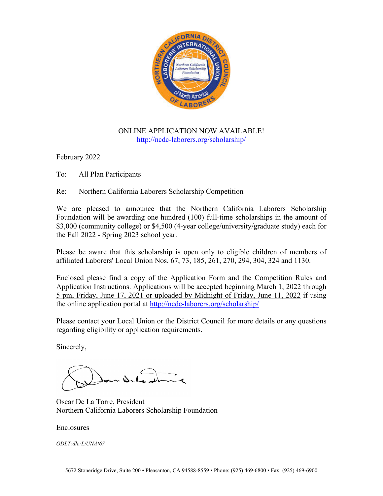

## ONLINE APPLICATION NOW AVAILABLE! <http://ncdc-laborers.org/scholarship/>

February 2022

To: All Plan Participants

Re: Northern California Laborers Scholarship Competition

We are pleased to announce that the Northern California Laborers Scholarship Foundation will be awarding one hundred (100) full-time scholarships in the amount of \$3,000 (community college) or \$4,500 (4-year college/university/graduate study) each for the Fall 2022 - Spring 2023 school year.

Please be aware that this scholarship is open only to eligible children of members of affiliated Laborers' Local Union Nos. 67, 73, 185, 261, 270, 294, 304, 324 and 1130.

Enclosed please find a copy of the Application Form and the Competition Rules and Application Instructions. Applications will be accepted beginning March 1, 2022 through 5 pm, Friday, June 17, 2021 or uploaded by Midnight of Friday, June 11, 2022 if using the online application portal at<http://ncdc-laborers.org/scholarship/>

Please contact your Local Union or the District Council for more details or any questions regarding eligibility or application requirements.

Sincerely,

Oscar De La Torre, President Northern California Laborers Scholarship Foundation

### Enclosures

*ODLT:dle:LiUNA!67*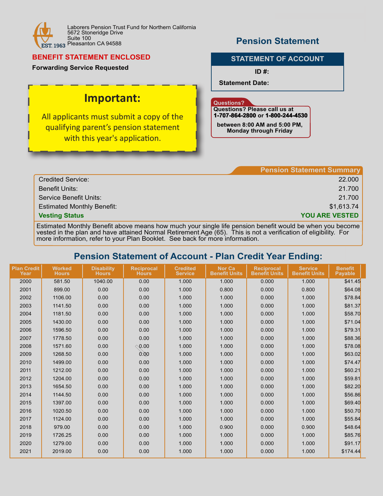

## **BENEFIT STATEMENT ENCLOSED**

**Forwarding Service Requested**

# **Important:**

all annlican All applicants must submit a copy of the qualifying parent's pension statement with this year's application.

# **Pension Statement**

### **STATEMENT OF ACCOUNT**

**ID #:**

**Statement Date:**

#### **Questions?**

**Questions? Please call us at 1-707-864-2800 707-864-2800 or 1-800-244-4530**

**between 8:00 AM and 5:00 PM, Monday through Friday**

|                                   | <b>Pension Statement Summary</b> |
|-----------------------------------|----------------------------------|
| <b>Credited Service:</b>          | 22.000                           |
| <b>Benefit Units:</b>             | 21.700                           |
| Service Benefit Units:            | 21.700                           |
| <b>Estimated Monthly Benefit:</b> | \$1,613.74                       |
| <b>Vesting Status</b>             | <b>YOU ARE VESTED</b>            |

Estimated Monthly Benefit above means how much your single life pension benefit would be when you become vested in the plan and have attained Normal Retirement Age (65). This is not a verification of eligibility. For more information, refer to your Plan Booklet. See back for more information.

# **Pension Statement of Account - Plan Credit Year Ending:**

| <b>Plan Credit</b><br>Year | <b>Worked</b><br><b>Hours</b> | <b>Disability</b><br><b>Hours</b> | <b>Reciprocal</b><br><b>Hours</b> | <b>Credited</b><br><b>Service</b> | <b>Nor Ca</b><br><b>Benefit Units</b> | <b>Reciprocal</b><br><b>Benefit Units</b> | <b>Service</b><br><b>Benefit Units</b> | <b>Benefit</b><br><b>Payable</b> |
|----------------------------|-------------------------------|-----------------------------------|-----------------------------------|-----------------------------------|---------------------------------------|-------------------------------------------|----------------------------------------|----------------------------------|
| 2000                       | 581.50                        | 1040.00                           | 0.00                              | 1.000                             | 1.000                                 | 0.000                                     | 1.000                                  | \$41.45                          |
| 2001                       | 899.00                        | 0.00                              | 0.00                              | 1.000                             | 0.800                                 | 0.000                                     | 0.800                                  | \$64.08                          |
| 2002                       | 1106.00                       | 0.00                              | 0.00                              | 1.000                             | 1.000                                 | 0.000                                     | 1.000                                  | \$78.84                          |
| 2003                       | 1141.50                       | 0.00                              | 0.00                              | 1.000                             | 1.000                                 | 0.000                                     | 1.000                                  | \$81.37                          |
| 2004                       | 1181.50                       | 0.00                              | 0.00                              | 1.000                             | 1.000                                 | 0.000                                     | 1.000                                  | \$58.70                          |
| 2005                       | 1430.00                       | 0.00                              | 0.00                              | 1.000                             | 1.000                                 | 0.000                                     | 1.000                                  | \$71.04                          |
| 2006                       | 1596.50                       | 0.00                              | 0.00                              | 1.000                             | 1.000                                 | 0.000                                     | 1.000                                  | \$79.31                          |
| 2007                       | 1778.50                       | 0.00                              | 0.00                              | 1.000                             | 1.000                                 | 0.000                                     | 1.000                                  | \$88.36                          |
| 2008                       | 1571.60                       | 0.00                              | $\Diamond$ 0.00                   | 1.000                             | 1.000                                 | 0.000                                     | 1.000                                  | \$78.08                          |
| 2009                       | 1268.50                       | 0.00                              | 0.00                              | 1.000                             | 1.000                                 | 0.000                                     | 1.000                                  | \$63.02                          |
| 2010                       | 1499.00                       | 0.00                              | 0.00                              | 1.000                             | 1.000                                 | 0.000                                     | 1.000                                  | \$74.47                          |
| 2011                       | 1212.00                       | 0.00                              | 0.00                              | 1.000                             | 1.000                                 | 0.000                                     | 1.000                                  | \$60.21                          |
| 2012                       | 1204.00                       | 0.00                              | 0.00                              | 1.000                             | 1.000                                 | 0.000                                     | 1.000                                  | \$59.81                          |
| 2013                       | 1654.50                       | 0.00                              | 0.00                              | 1.000                             | 1.000                                 | 0.000                                     | 1.000                                  | \$82.20                          |
| 2014                       | 1144.50                       | 0.00                              | 0.00                              | 1.000                             | 1.000                                 | 0.000                                     | 1.000                                  | \$56.86                          |
| 2015                       | 1397.00                       | 0.00                              | 0.00                              | 1.000                             | 1.000                                 | 0.000                                     | 1.000                                  | \$69.40                          |
| 2016                       | 1020.50                       | 0.00                              | 0.00                              | 1.000                             | 1.000                                 | 0.000                                     | 1.000                                  | \$50.70                          |
| 2017                       | 1124.00                       | 0.00                              | 0.00                              | 1.000                             | 1.000                                 | 0.000                                     | 1.000                                  | \$55.84                          |
| 2018                       | 979.00                        | 0.00                              | 0.00                              | 1.000                             | 0.900                                 | 0.000                                     | 0.900                                  | \$48.64                          |
| 2019                       | 1726.25                       | 0.00                              | 0.00                              | 1.000                             | 1.000                                 | 0.000                                     | 1.000                                  | \$85.76                          |
| 2020                       | 1279.00                       | 0.00                              | 0.00                              | 1.000                             | 1.000                                 | 0.000                                     | 1.000                                  | \$91.17                          |
| 2021                       | 2019.00                       | 0.00                              | 0.00                              | 1.000                             | 1.000                                 | 0.000                                     | 1.000                                  | \$174.44                         |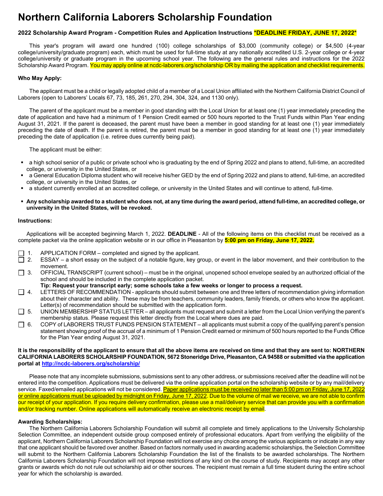# **Northern California Laborers Scholarship Foundation**

#### **2022 Scholarship Award Program - Competition Rules and Application Instructions \*DEADLINE FRIDAY, JUNE 17, 2022\***

This year's program will award one hundred (100) college scholarships of \$3,000 (community college) or \$4,500 (4-year college/university/graduate program) each, which must be used for full-time study at any nationally accredited U.S. 2-year college or 4-year college/university or graduate program in the upcoming school year. The following are the general rules and instructions for the 2022 Scholarship Award Program. You may apply online at ncdc-laborers.org/scholarship OR by mailing the application and checklist requirements.

#### **Who May Apply:**

The applicant must be a child or legally adopted child of a member of a Local Union affiliated with the Northern California District Council of Laborers (open to Laborers' Locals 67, 73, 185, 261, 270, 294, 304, 324, and 1130 only).

The parent of the applicant must be a member in good standing with the Local Union for at least one (1) year immediately preceding the date of application and have had a minimum of 1 Pension Credit earned or 500 hours reported to the Trust Funds within Plan Year ending August 31, 2021. If the parent is deceased, the parent must have been a member in good standing for at least one (1) year immediately preceding the date of death. If the parent is retired, the parent must be a member in good standing for at least one (1) year immediately preceding the date of application (i.e. retiree dues currently being paid).

The applicant must be either:

- a high school senior of a public or private school who is graduating by the end of Spring 2022 and plans to attend, full-time, an accredited college, or university in the United States, or
- a General Education Diploma student who will receive his/her GED by the end of Spring 2022 and plans to attend, full-time, an accredited college, or university in the United States, or
- a student currently enrolled at an accredited college, or university in the United States and will continue to attend, full-time.
- **Any scholarship awarded to a student who does not, at any time during the award period, attend full-time, an accredited college, or university in the United States, will be revoked.**

#### **Instructions:**

Applications will be accepted beginning March 1, 2022. **DEADLINE** - All of the following items on this checklist must be received as a complete packet via the online application website or in our office in Pleasanton by **5:00 pm on Friday, June 17, 2022.**

- $\Box$  1. APPLICATION FORM completed and signed by the applicant.<br>  $\Box$  2. ESSAY a short essay on the subject of a notable figure. key g
- 2. ESSAY a short essay on the subject of a notable figure, key group, or event in the labor movement, and their contribution to the movement.
- $\Box$  3. OFFICIAL TRANSCRIPT (current school) must be in the original, unopened school envelope sealed by an authorized official of the school and should be included in the complete application packet.

**Tip: Request your transcript early; some schools take a few weeks or longer to process a request.**

- $\Box$  4. LETTERS OF RECOMMENDATION applicants should submit between one and three letters of recommendation giving information about their character and ability. These may be from teachers, community leaders, family friends, or others who know the applicant. Letter(s) of recommendation should be submitted with the application form.
- $\Box$  5. UNION MEMBERSHIP STATUS LETTER all applicants must request and submit a letter from the Local Union verifying the parent's membership status. Please request this letter directly from the Local where dues are paid.
- $\Box$  6. COPY of LABORERS TRUST FUNDS PENSION STATEMENT all applicants must submit a copy of the qualifying parent's pension statement showing proof of the accrual of a minimum of 1 Pension Credit earned or minimum of 500 hours reported to the Funds Office for the Plan Year ending August 31, 2021.

#### **It is the responsibility of the applicant to ensure that all the above items are received on time and that they are sent to: NORTHERN CALIFORNIA LABORERS SCHOLARSHIP FOUNDATION, 5672 Stoneridge Drive, Pleasanton, CA 94588 or submitted via the application portal at<http://ncdc-laborers.org/scholarship/>**

Please note that any incomplete submissions, submissions sent to any other address, or submissions received after the deadline will not be entered into the competition. Applications must be delivered via the online application portal on the scholarship website or by any mail/delivery service. Faxed/emailed applications will not be considered. Paper applications must be received no later than 5:00 pm on Friday, June 17, 2022 or online applications must be uploaded by midnight on Friday, June 17, 2022. Due to the volume of mail we receive, we are not able to confirm our receipt of your application. If you require delivery confirmation, please use a mail/delivery service that can provide you with a confirmation and/or tracking number. Online applications will automatically receive an electronic receipt by email.

#### **Awarding Scholarships:**

 The Northern California Laborers Scholarship Foundation will submit all complete and timely applications to the University Scholarship Selection Committee, an independent outside group composed entirely of professional educators. Apart from verifying the eligibility of the applicant, Northern California Laborers Scholarship Foundation will not exercise any choice among the various applicants or indicate in any way that one applicant should be favored over another. Based on factors normally used in awarding academic scholarships, the Selection Committee will submit to the Northern California Laborers Scholarship Foundation the list of the finalists to be awarded scholarships. The Northern California Laborers Scholarship Foundation will not impose restrictions of any kind on the course of study. Recipients may accept any other grants or awards which do not rule out scholarship aid or other sources. The recipient must remain a full time student during the entire school year for which the scholarship is awarded.